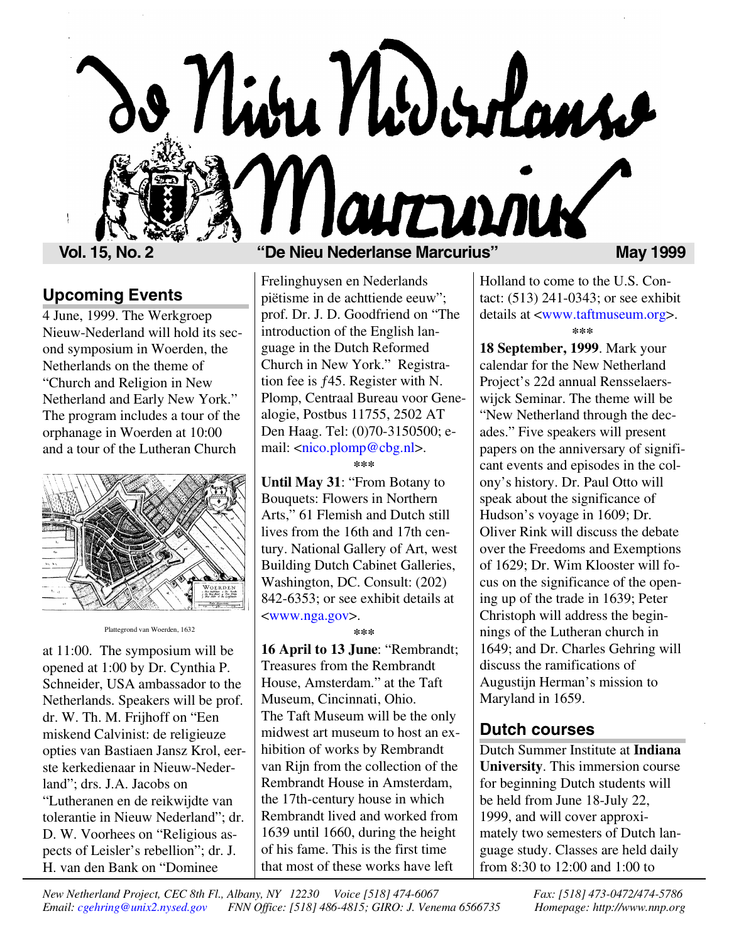

#### **Upcoming Events**

4 June, 1999. The Werkgroep Nieuw-Nederland will hold its second symposium in Woerden, the Netherlands on the theme of "Church and Religion in New Netherland and Early New York." The program includes a tour of the orphanage in Woerden at 10:00 and a tour of the Lutheran Church



Plattegrond van Woerden, 1632

at 11:00. The symposium will be opened at 1:00 by Dr. Cynthia P. Schneider, USA ambassador to the Netherlands. Speakers will be prof. dr. W. Th. M. Frijhoff on "Een miskend Calvinist: de religieuze opties van Bastiaen Jansz Krol, eerste kerkedienaar in Nieuw-Nederland"; drs. J.A. Jacobs on "Lutheranen en de reikwijdte van tolerantie in Nieuw Nederland"; dr. D. W. Voorhees on "Religious aspects of Leisler's rebellion"; dr. J. H. van den Bank on "Dominee

Frelinghuysen en Nederlands piëtisme in de achttiende eeuw"; prof. Dr. J. D. Goodfriend on "The introduction of the English language in the Dutch Reformed Church in New York." Registration fee is  $f45$ . Register with N. Plomp, Centraal Bureau voor Genealogie, Postbus 11755, 2502 AT Den Haag. Tel: (0)70-3150500; email: [<nico.plomp@cbg.nl>](mailto:nico.plomp@cbg.nl).

**\*\*\***

**Until May 31**: "From Botany to Bouquets: Flowers in Northern Arts," 61 Flemish and Dutch still lives from the 16th and 17th century. National Gallery of Art, west Building Dutch Cabinet Galleries, Washington, DC. Consult: (202) 842-6353; or see exhibit details at [<www.nga.gov>](http://www.nga.gov).

**\*\*\***

**16 April to 13 June**: "Rembrandt; Treasures from the Rembrandt House, Amsterdam." at the Taft Museum, Cincinnati, Ohio. The Taft Museum will be the only midwest art museum to host an exhibition of works by Rembrandt van Rijn from the collection of the Rembrandt House in Amsterdam, the 17th-century house in which Rembrandt lived and worked from 1639 until 1660, during the height of his fame. This is the first time that most of these works have left

Holland to come to the U.S. Contact: (513) 241-0343; or see exhibit details at [<www.taftmuseum.org>](http://www.taftmuseum.org). **\*\*\***

**18 September, 1999**. Mark your calendar for the New Netherland Project's 22d annual Rensselaerswijck Seminar. The theme will be "New Netherland through the decades." Five speakers will present papers on the anniversary of significant events and episodes in the colony's history. Dr. Paul Otto will speak about the significance of Hudson's voyage in 1609; Dr. Oliver Rink will discuss the debate over the Freedoms and Exemptions of 1629; Dr. Wim Klooster will focus on the significance of the opening up of the trade in 1639; Peter Christoph will address the beginnings of the Lutheran church in 1649; and Dr. Charles Gehring will discuss the ramifications of Augustijn Herman's mission to Maryland in 1659.

#### **Dutch courses**

Dutch Summer Institute at **Indiana University**. This immersion course for beginning Dutch students will be held from June 18-July 22, 1999, and will cover approximately two semesters of Dutch language study. Classes are held daily from 8:30 to 12:00 and 1:00 to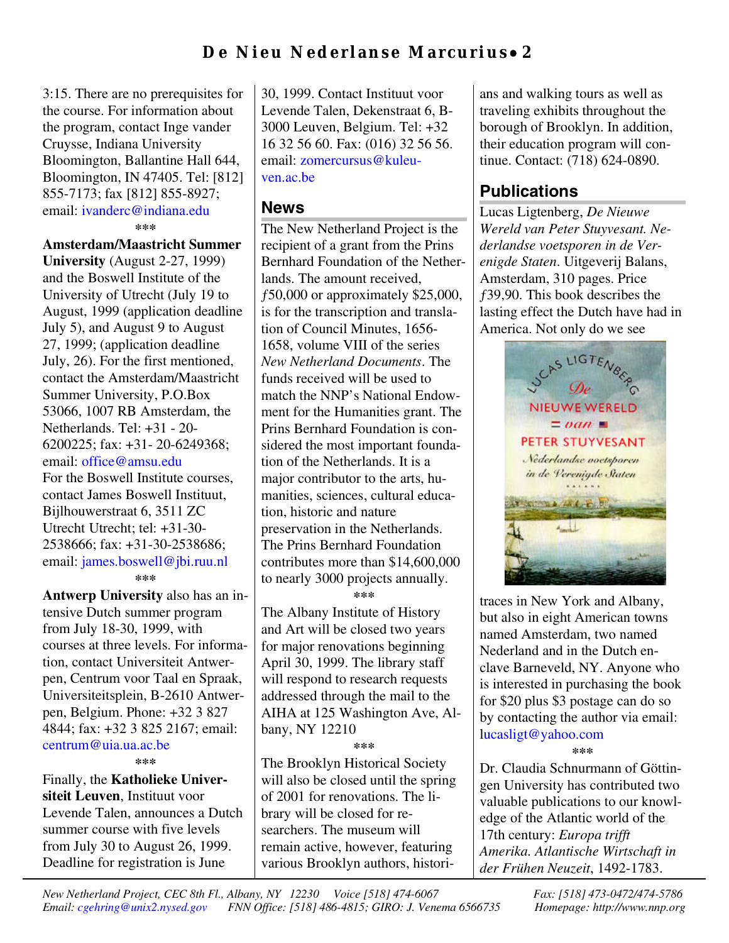# **De Nieu Nederlanse Marcurius** • **2**

3:15. There are no prerequisites for the course. For information about the program, contact Inge vander Cruysse, Indiana University Bloomington, Ballantine Hall 644, Bloomington, IN 47405. Tel: [812] 855-7173; fax [812] 855-8927; email: [ivanderc@indiana.edu](mailto:ivanderc@indiana.edu) **\*\*\***

**Amsterdam/Maastricht Summer University** (August 2-27, 1999) and the Boswell Institute of the University of Utrecht (July 19 to August, 1999 (application deadline July 5), and August 9 to August 27, 1999; (application deadline July, 26). For the first mentioned, contact the Amsterdam/Maastricht Summer University, P.O.Box 53066, 1007 RB Amsterdam, the Netherlands. Tel: +31 - 20- 6200225; fax: +31- 20-6249368; email: [office@amsu.edu](mailto:office@amsu.edu) For the Boswell Institute courses, contact James Boswell Instituut, Bijlhouwerstraat 6, 3511 ZC Utrecht Utrecht; tel: +31-30- 2538666; fax: +31-30-2538686; email: [james.boswell@jbi.ruu.nl](mailto:james.boswell@jbi.ruu.nl) **\*\*\***

**Antwerp University** also has an intensive Dutch summer program from July 18-30, 1999, with courses at three levels. For information, contact Universiteit Antwerpen, Centrum voor Taal en Spraak, Universiteitsplein, B-2610 Antwerpen, Belgium. Phone: +32 3 827 4844; fax: +32 3 825 2167; email: [centrum@uia.ua.ac.be](mailto:centrum@uia.ua.ac.be)

**\*\*\***

Finally, the **Katholieke Universiteit Leuven**, Instituut voor Levende Talen, announces a Dutch summer course with five levels from July 30 to August 26, 1999. Deadline for registration is June

30, 1999. Contact Instituut voor Levende Talen, Dekenstraat 6, B-3000 Leuven, Belgium. Tel: +32 16 32 56 60. Fax: (016) 32 56 56. email: [zomercursus@kuleu](mailto:zomercursus@kuleuven.ac.be)[ven.ac.be](mailto:zomercursus@kuleuven.ac.be)

#### **News**

The New Netherland Project is the recipient of a grant from the Prins Bernhard Foundation of the Netherlands. The amount received, ƒ50,000 or approximately \$25,000, is for the transcription and translation of Council Minutes, 1656- 1658, volume VIII of the series *New Netherland Documents*. The funds received will be used to match the NNP's National Endowment for the Humanities grant. The Prins Bernhard Foundation is considered the most important foundation of the Netherlands. It is a major contributor to the arts, humanities, sciences, cultural education, historic and nature preservation in the Netherlands. The Prins Bernhard Foundation contributes more than \$14,600,000 to nearly 3000 projects annually.

**\*\*\***

The Albany Institute of History and Art will be closed two years for major renovations beginning April 30, 1999. The library staff will respond to research requests addressed through the mail to the AIHA at 125 Washington Ave, Albany, NY 12210

**\*\*\***

The Brooklyn Historical Society will also be closed until the spring of 2001 for renovations. The library will be closed for researchers. The museum will remain active, however, featuring various Brooklyn authors, historians and walking tours as well as traveling exhibits throughout the borough of Brooklyn. In addition, their education program will continue. Contact: (718) 624-0890.

#### **Publications**

Lucas Ligtenberg, *De Nieuwe Wereld van Peter Stuyvesant. Nederlandse voetsporen in de Verenigde Staten*. Uitgeverij Balans, Amsterdam, 310 pages. Price ƒ39,90. This book describes the lasting effect the Dutch have had in America. Not only do we see



traces in New York and Albany, but also in eight American towns named Amsterdam, two named Nederland and in the Dutch enclave Barneveld, NY. Anyone who is interested in purchasing the book for \$20 plus \$3 postage can do so by contacting the author via email: [lucasligt@yahoo.com](mailto:lucasligt@yahoo.com)

**\*\*\***

Dr. Claudia Schnurmann of Göttingen University has contributed two valuable publications to our knowledge of the Atlantic world of the 17th century: *Europa trifft Amerika. Atlantische Wirtschaft in der Frühen Neuzeit*, 1492-1783.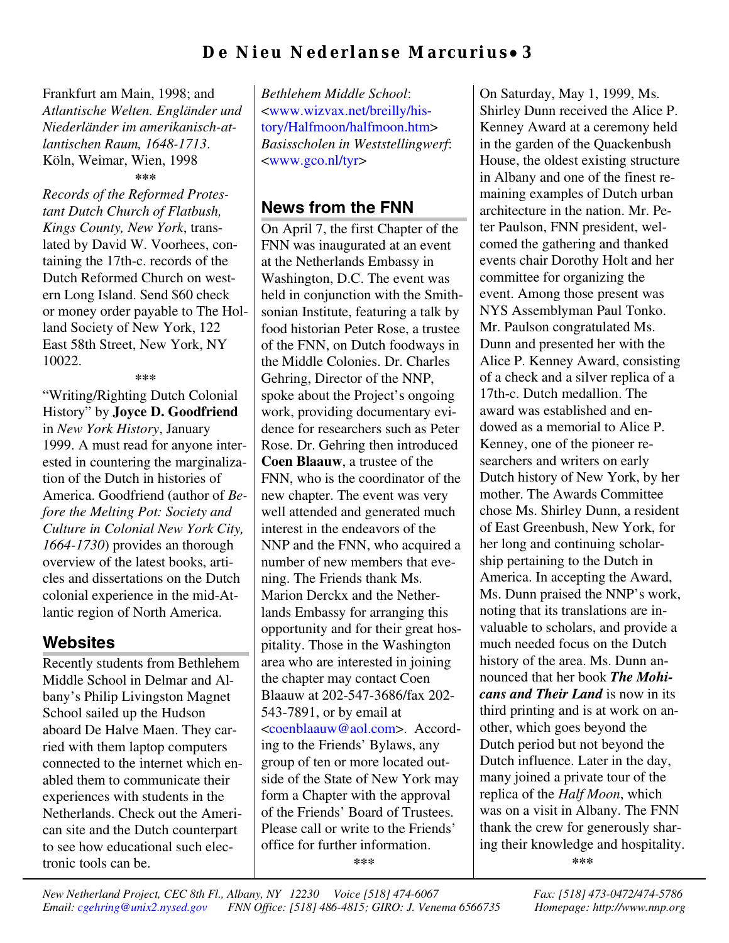### **De Nieu Nederlanse Marcurius** • **3**

Frankfurt am Main, 1998; and *Atlantische Welten. Engländer und Niederländer im amerikanisch-atlantischen Raum, 1648-1713*. Köln, Weimar, Wien, 1998 **\*\*\***

*Records of the Reformed Protestant Dutch Church of Flatbush, Kings County, New York*, translated by David W. Voorhees, containing the 17th-c. records of the Dutch Reformed Church on western Long Island. Send \$60 check or money order payable to The Holland Society of New York, 122 East 58th Street, New York, NY 10022.

**\*\*\***

"Writing/Righting Dutch Colonial History" by **Joyce D. Goodfriend** in *New York History*, January 1999. A must read for anyone interested in countering the marginalization of the Dutch in histories of America. Goodfriend (author of *Before the Melting Pot: Society and Culture in Colonial New York City, 1664-1730*) provides an thorough overview of the latest books, articles and dissertations on the Dutch colonial experience in the mid-Atlantic region of North America.

#### **Websites**

Recently students from Bethlehem Middle School in Delmar and Albany's Philip Livingston Magnet School sailed up the Hudson aboard De Halve Maen. They carried with them laptop computers connected to the internet which enabled them to communicate their experiences with students in the Netherlands. Check out the American site and the Dutch counterpart to see how educational such electronic tools can be.

*Bethlehem Middle School*: <www.wizvax.net/breilly/his[tory/Halfmoon/halfmoon.htm>](http://www.wizvx.net/breilly/history/Halfmoon/halfmoon.htm) *Basisscholen in Weststellingwerf*: [<www.gco.nl/tyr>](http://www.gco.nl/tyr)

# **News from the FNN**

On April 7, the first Chapter of the FNN was inaugurated at an event at the Netherlands Embassy in Washington, D.C. The event was held in conjunction with the Smithsonian Institute, featuring a talk by food historian Peter Rose, a trustee of the FNN, on Dutch foodways in the Middle Colonies. Dr. Charles Gehring, Director of the NNP, spoke about the Project's ongoing work, providing documentary evidence for researchers such as Peter Rose. Dr. Gehring then introduced **Coen Blaauw**, a trustee of the FNN, who is the coordinator of the new chapter. The event was very well attended and generated much interest in the endeavors of the NNP and the FNN, who acquired a number of new members that evening. The Friends thank Ms. Marion Derckx and the Netherlands Embassy for arranging this opportunity and for their great hospitality. Those in the Washington area who are interested in joining the chapter may contact Coen Blaauw at 202-547-3686/fax 202- 543-7891, or by email at [<coenblaauw@aol.com>](mailto:coenblaauw@aol.com). According to the Friends' Bylaws, any group of ten or more located outside of the State of New York may form a Chapter with the approval of the Friends' Board of Trustees. Please call or write to the Friends' office for further information. **\*\*\***

On Saturday, May 1, 1999, Ms. Shirley Dunn received the Alice P. Kenney Award at a ceremony held in the garden of the Quackenbush House, the oldest existing structure in Albany and one of the finest remaining examples of Dutch urban architecture in the nation. Mr. Peter Paulson, FNN president, welcomed the gathering and thanked events chair Dorothy Holt and her committee for organizing the event. Among those present was NYS Assemblyman Paul Tonko. Mr. Paulson congratulated Ms. Dunn and presented her with the Alice P. Kenney Award, consisting of a check and a silver replica of a 17th-c. Dutch medallion. The award was established and endowed as a memorial to Alice P. Kenney, one of the pioneer researchers and writers on early Dutch history of New York, by her mother. The Awards Committee chose Ms. Shirley Dunn, a resident of East Greenbush, New York, for her long and continuing scholarship pertaining to the Dutch in America. In accepting the Award, Ms. Dunn praised the NNP's work, noting that its translations are invaluable to scholars, and provide a much needed focus on the Dutch history of the area. Ms. Dunn announced that her book *The Mohicans and Their Land* is now in its third printing and is at work on another, which goes beyond the Dutch period but not beyond the Dutch influence. Later in the day, many joined a private tour of the replica of the *Half Moon*, which was on a visit in Albany. The FNN thank the crew for generously sharing their knowledge and hospitality. **\*\*\***